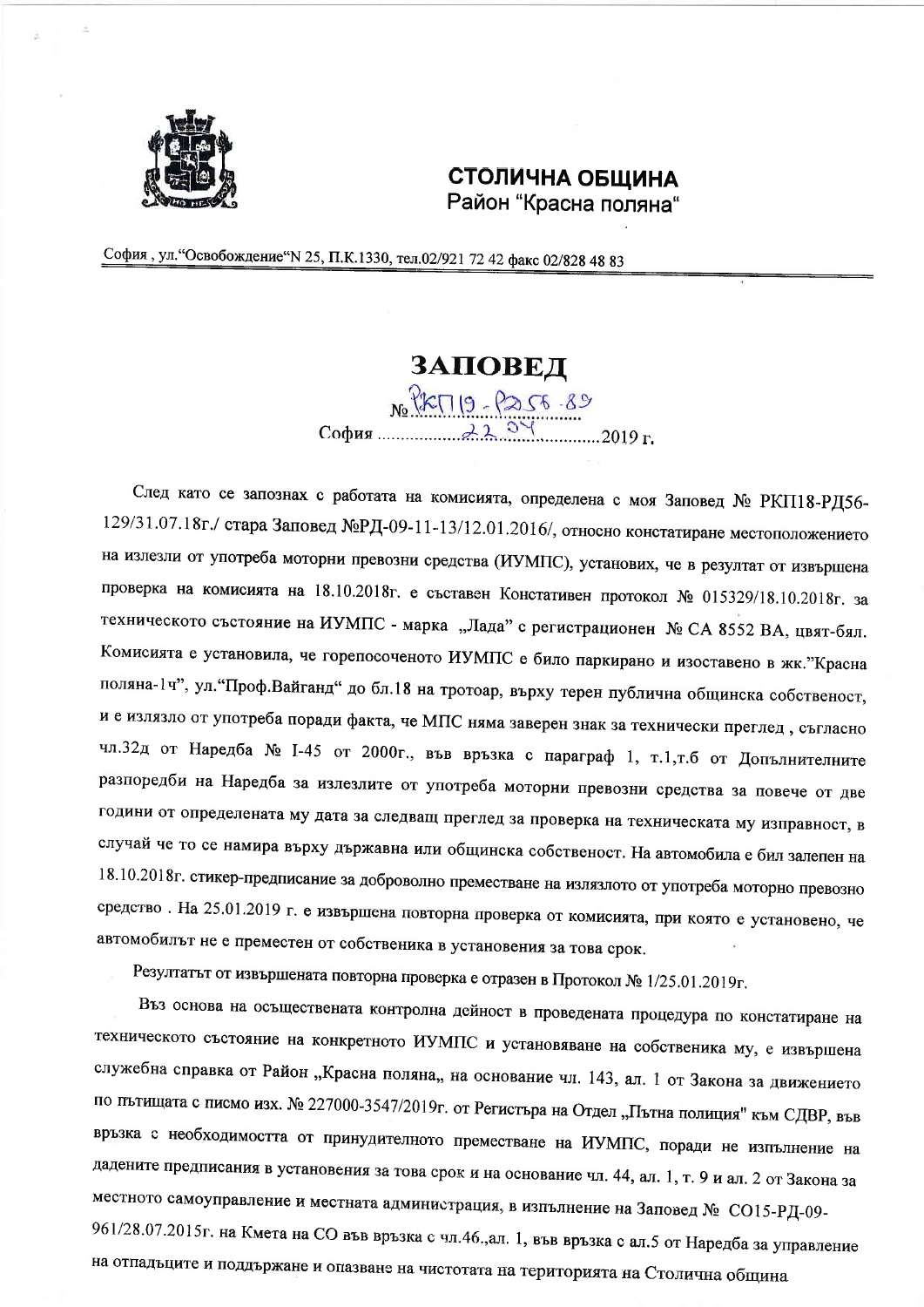

## СТОЛИЧНА ОБЩИНА Район "Красна поляна"

София, ул. "Освобождение" N 25, П.К.1330, тел.02/921 72 42 факс 02/828 48 83

## **3ATOBE** $\pi$

След като се запознах с работата на комисията, определена с моя Заповед № РКП18-РД56-129/31.07.18г./ стара Заповед №РД-09-11-13/12.01.2016/, относно констатиране местоположението на излезли от употреба моторни превозни средства (ИУМПС), установих, че в резултат от извършена проверка на комисията на 18.10.2018г. е съставен Констативен протокол № 015329/18.10.2018г. за техническото състояние на ИУМПС - марка "Лада" с регистрационен № СА 8552 ВА, цвят-бял. Комисията е установила, че горепосоченото ИУМПС е било паркирано и изоставено в жк."Красна поляна-1ч", ул. "Проф.Вайганд" до бл.18 на тротоар, върху терен публична общинска собственост, и е излязло от употреба поради факта, че МПС няма заверен знак за технически преглед, съгласно чл.32д от Наредба № 1-45 от 2000г., във връзка с параграф 1, т.1,т.б от Допълнителните разпоредби на Наредба за излезлите от употреба моторни превозни средства за повече от две години от определената му дата за следващ преглед за проверка на техническата му изправност, в случай че то се намира върху държавна или общинска собственост. На автомобила е бил залепен на 18.10.2018г. стикер-предписание за доброволно преместване на излязлото от употреба моторно превозно средство. На 25.01.2019 г. е извършена повторна проверка от комисията, при която е установено, че автомобилът не е преместен от собственика в установения за това срок.

Резултатът от извършената повторна проверка е отразен в Протокол № 1/25.01.2019г.

Въз основа на осъществената контролна дейност в проведената процедура по констатиране на техническото състояние на конкретното ИУМПС и установяване на собственика му, е извършена служебна справка от Район "Красна поляна,, на основание чл. 143, ал. 1 от Закона за движението по пътищата с писмо изх. № 227000-3547/2019г. от Регистъра на Отдел "Пътна полиция" към СДВР, във връзка с необходимостта от принудителното преместване на ИУМПС, поради не изпълнение на дадените предписания в установения за това срок и на основание чл. 44, ал. 1, т. 9 и ал. 2 от Закона за местното самоуправление и местната администрация, в изпълнение на Заповед № СО15-РД-09-961/28.07.2015г. на Кмета на СО във връзка с чл.46.,ал. 1, във връзка с ал.5 от Наредба за управление на отпадъците и поддържане и опазване на чистотата на територията на Столична община